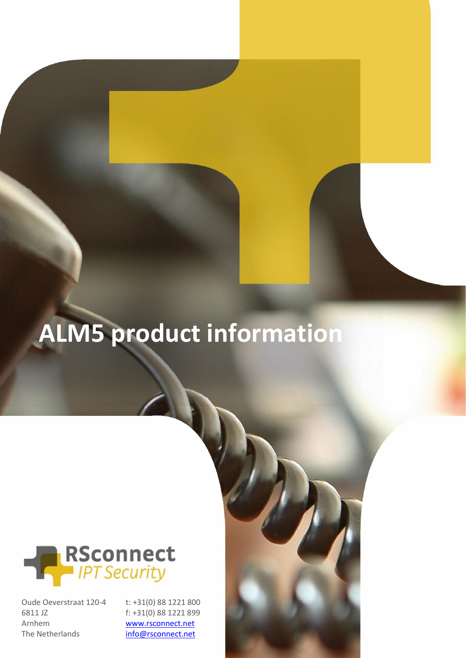# **ALM5 product information**



Oude Oeverstraat 120-4 6811 JZ Arnhem The Netherlands

t: +31(0) 88 1221 800 f: +31(0) 88 1221 899 [www.rsconnect.net](http://www.rsconnect.net/) [info@rsconnect.net](mailto:info@rsconnect.net)

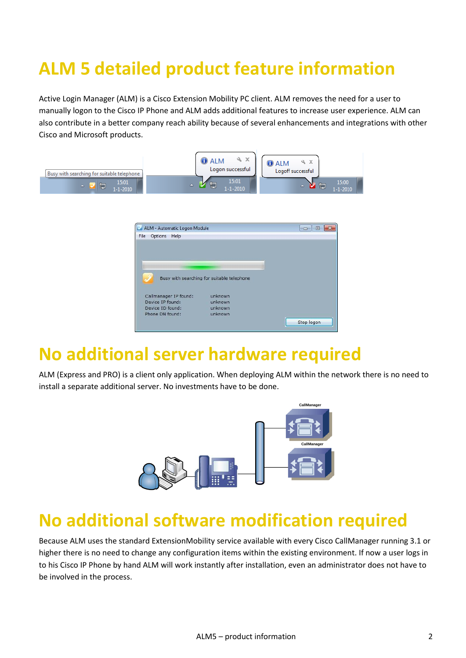## **ALM 5 detailed product feature information**

Active Login Manager (ALM) is a Cisco Extension Mobility PC client. ALM removes the need for a user to manually logon to the Cisco IP Phone and ALM adds additional features to increase user experience. ALM can also contribute in a better company reach ability because of several enhancements and integrations with other Cisco and Microsoft products.



|                       | Busy with searching for suitable telephone |  |
|-----------------------|--------------------------------------------|--|
|                       |                                            |  |
|                       |                                            |  |
|                       |                                            |  |
| Callmanager IP found: | unknown                                    |  |
| Device IP found:      | unknown                                    |  |
| Device ID found:      | unknown                                    |  |
| Phone DN found:       | unknown                                    |  |

#### **No additional server hardware required**

ALM (Express and PRO) is a client only application. When deploying ALM within the network there is no need to install a separate additional server. No investments have to be done.



#### **No additional software modification required**

Because ALM uses the standard ExtensionMobility service available with every Cisco CallManager running 3.1 or higher there is no need to change any configuration items within the existing environment. If now a user logs in to his Cisco IP Phone by hand ALM will work instantly after installation, even an administrator does not have to be involved in the process.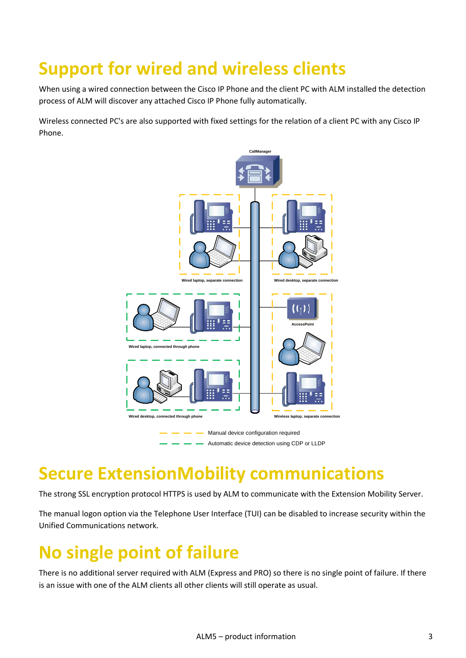## **Support for wired and wireless clients**

When using a wired connection between the Cisco IP Phone and the client PC with ALM installed the detection process of ALM will discover any attached Cisco IP Phone fully automatically.

Wireless connected PC's are also supported with fixed settings for the relation of a client PC with any Cisco IP Phone.



#### **Secure ExtensionMobility communications**

The strong SSL encryption protocol HTTPS is used by ALM to communicate with the Extension Mobility Server.

The manual logon option via the Telephone User Interface (TUI) can be disabled to increase security within the Unified Communications network.

#### **No single point of failure**

There is no additional server required with ALM (Express and PRO) so there is no single point of failure. If there is an issue with one of the ALM clients all other clients will still operate as usual.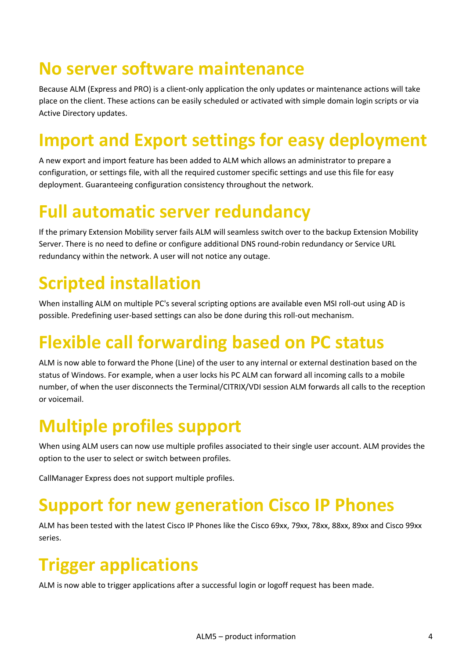#### **No server software maintenance**

Because ALM (Express and PRO) is a client-only application the only updates or maintenance actions will take place on the client. These actions can be easily scheduled or activated with simple domain login scripts or via Active Directory updates.

## **Import and Export settings for easy deployment**

A new export and import feature has been added to ALM which allows an administrator to prepare a configuration, or settings file, with all the required customer specific settings and use this file for easy deployment. Guaranteeing configuration consistency throughout the network.

#### **Full automatic server redundancy**

If the primary Extension Mobility server fails ALM will seamless switch over to the backup Extension Mobility Server. There is no need to define or configure additional DNS round-robin redundancy or Service URL redundancy within the network. A user will not notice any outage.

## **Scripted installation**

When installing ALM on multiple PC's several scripting options are available even MSI roll-out using AD is possible. Predefining user-based settings can also be done during this roll-out mechanism.

## **Flexible call forwarding based on PC status**

ALM is now able to forward the Phone (Line) of the user to any internal or external destination based on the status of Windows. For example, when a user locks his PC ALM can forward all incoming calls to a mobile number, of when the user disconnects the Terminal/CITRIX/VDI session ALM forwards all calls to the reception or voicemail.

## **Multiple profiles support**

When using ALM users can now use multiple profiles associated to their single user account. ALM provides the option to the user to select or switch between profiles.

CallManager Express does not support multiple profiles.

#### **Support for new generation Cisco IP Phones**

ALM has been tested with the latest Cisco IP Phones like the Cisco 69xx, 79xx, 78xx, 88xx, 89xx and Cisco 99xx series.

## **Trigger applications**

ALM is now able to trigger applications after a successful login or logoff request has been made.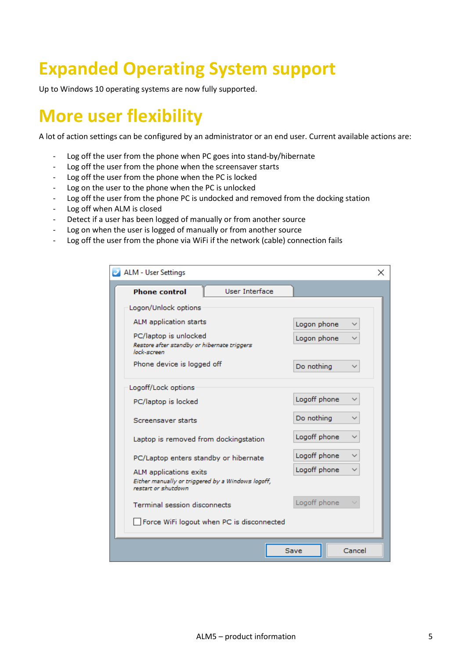## **Expanded Operating System support**

Up to Windows 10 operating systems are now fully supported.

#### **More user flexibility**

A lot of action settings can be configured by an administrator or an end user. Current available actions are:

- Log off the user from the phone when PC goes into stand-by/hibernate
- Log off the user from the phone when the screensaver starts
- Log off the user from the phone when the PC is locked
- Log on the user to the phone when the PC is unlocked
- Log off the user from the phone PC is undocked and removed from the docking station
- Log off when ALM is closed
- Detect if a user has been logged of manually or from another source
- Log on when the user is logged of manually or from another source
- Log off the user from the phone via WiFi if the network (cable) connection fails

| ALM - User Settings                                                                                  |                |              |        |  |  |
|------------------------------------------------------------------------------------------------------|----------------|--------------|--------|--|--|
| <b>Phone control</b>                                                                                 | User Interface |              |        |  |  |
| Logon/Unlock options                                                                                 |                |              |        |  |  |
| ALM application starts                                                                               |                | Logon phone  |        |  |  |
| PC/laptop is unlocked<br>Restore after standby or hibernate triggers<br>lock-screen                  |                | Logon phone  |        |  |  |
| Phone device is logged off                                                                           |                | Do nothing   |        |  |  |
| Logoff/Lock options                                                                                  |                |              |        |  |  |
| PC/laptop is locked                                                                                  |                | Logoff phone |        |  |  |
| Screensaver starts<br>Laptop is removed from dockingstation<br>PC/Laptop enters standby or hibernate |                | Do nothing   |        |  |  |
|                                                                                                      |                | Logoff phone |        |  |  |
|                                                                                                      |                | Logoff phone |        |  |  |
| ALM applications exits<br>Either manually or triggered by a Windows logoff,<br>restart or shutdown   |                | Logoff phone |        |  |  |
| <b>Terminal session disconnects</b>                                                                  |                | Logoff phone |        |  |  |
| Force WiFi logout when PC is disconnected                                                            |                |              |        |  |  |
|                                                                                                      |                | Save         | Cancel |  |  |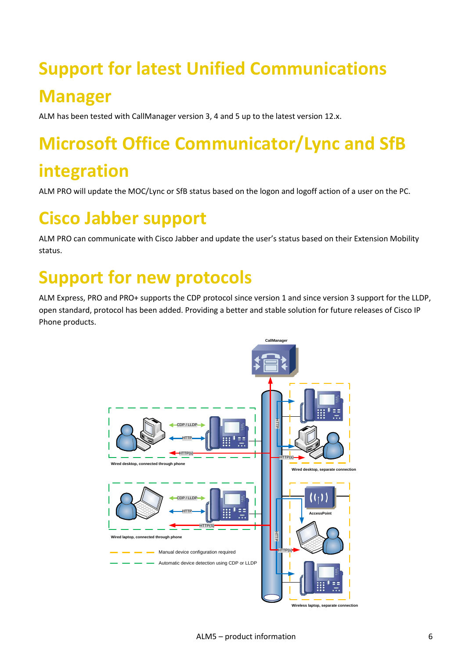## **Support for latest Unified Communications Manager**

ALM has been tested with CallManager version 3, 4 and 5 up to the latest version 12.x.

## **Microsoft Office Communicator/Lync and SfB**

#### **integration**

ALM PRO will update the MOC/Lync or SfB status based on the logon and logoff action of a user on the PC.

#### **Cisco Jabber support**

ALM PRO can communicate with Cisco Jabber and update the user's status based on their Extension Mobility status.

#### **Support for new protocols**

ALM Express, PRO and PRO+ supports the CDP protocol since version 1 and since version 3 support for the LLDP, open standard, protocol has been added. Providing a better and stable solution for future releases of Cisco IP Phone products.



**Wireless laptop, separate connection**